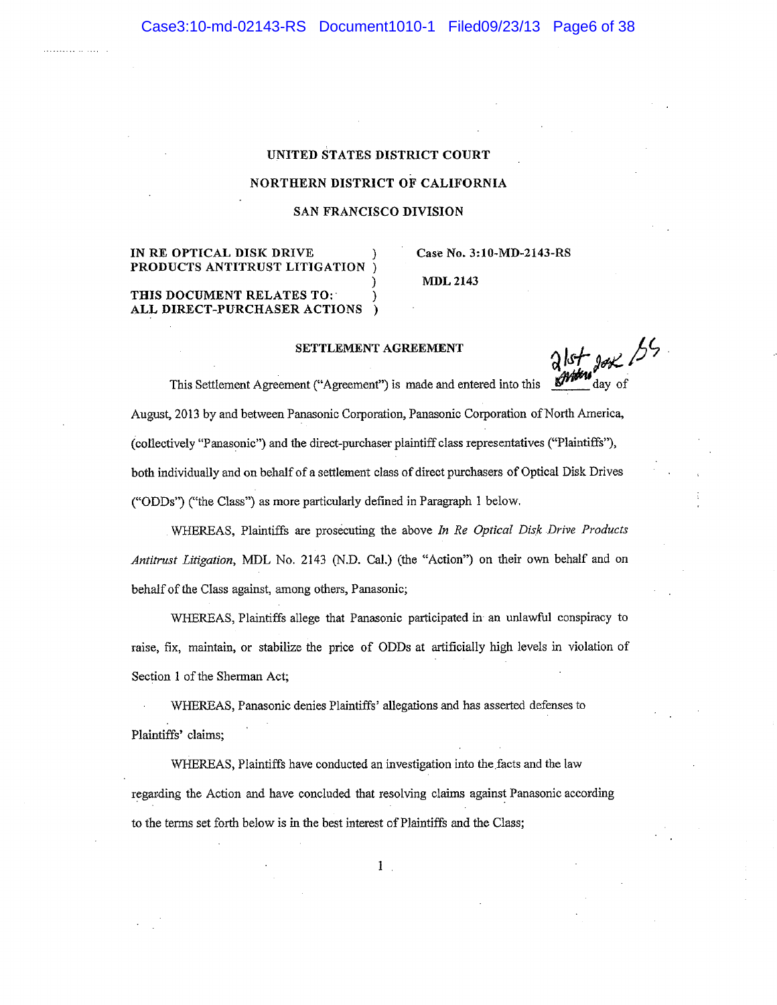### UNITED STATES DISTRICT COURT

### NORTHERN DISTRICT OF CALIFORNIA

### SAN FRANCISCO DIVISION

# IN RE OPTICAL DISK DRIVE PRODUCTS ANTITRUST LITIGATION

## Case No. 3:10-MD-2143-RS

MDL 2143

#### THIS DOCUMENT RELATES TO: ALL DIRECT-PURCHASER ÀCTIONS  $\rightarrow$

### SETTLEMENT AGREEMENT

SETTLEMENT AGREEMENT<br>This Settlement Agreement ("Agreement") is made and entered into this  $\frac{\partial |s_f|}{\partial x^2}$  day of

August, 2013 by and between Panasonic Corporation, Panasonic Corporation of North America, (collectively "Panasonic") and the direct-purchaserplaintiffclass representatives ('Plaintiffs"), both indívidually and on behalf of a settlement class of direct purchasers of Opticat Disk Drives ("ODDs') ("the Class") as more particularly defined in Paragraph 1 below,

WHEREAS, Plaintiffs are prosecuting the above In Re Optical Dísk Drive Products Antitrust Litigation, MDL No. 2143 (N.D. Cal.) (the "Action") on their own behalf and on behalf of the Class against, among others, Panasonic;

WHEREAS, Plaintiffs allege that Panasonic participated in an unlawful conspiracy to raise, fix, maintain, or stabilize the price of ODDs at artificially high levels in violation of Section I of the Sherman Act;

WHEREAS, Panasonic denies Plaintiffs' alleguions and has asserted defenses to Plaintiffs' claims;

WHEREAS, Piaintiffs have conducted an investigation into the facts and the law regarding the Action and have concluded that resolving claims against Panasonic according to the tems set forth beiow is in the best interest of Plaintiffs and the Class;

 $1$ .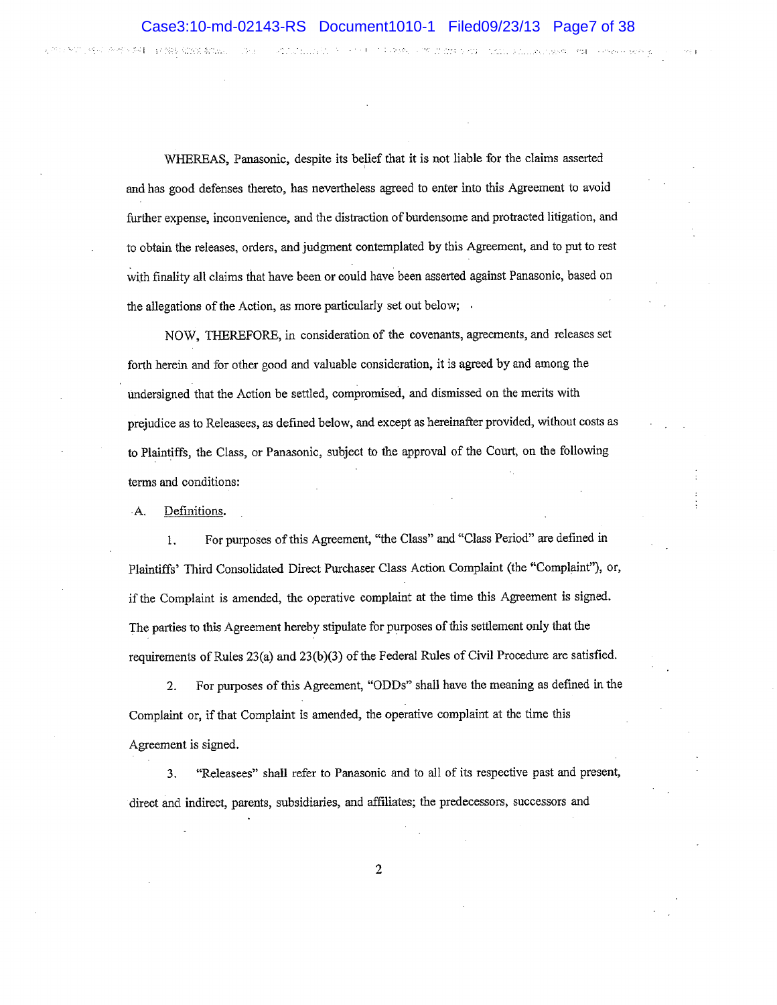$\sim 28$  M and  $\sim 800$  . And  $\sim 3$  million respectively. For

WHEREAS, Panasonic, despite its belief that it is not liable for the claims asserted and has good defenses thereto, has nevertheless agreed to enter into this Agreement to avoid further expense, inconvenience, and the distraction of burdensome and protacted litigation, and to obtain the releases, orders, and judgment contemplated by this Agreement, and to put ûo rest with finality all claims that have been or could have been asserted against Panasonic, based on the allegations of the Action, as more particularly set out below;

NOW, THEREFORE, in consideration of the covenants, agreements, and releases set forth herein and for other good and valuable consideration, it is agreed by and among the undersigned that the Action be settled, compromised, and dismissed on the merits with prejudice as to Releasees, as defined below, and except as hereinafter provided, without costs as to Plaintiffs, the Class, or Panasonic, subject to the approval of the Court, on the following terms and conditions:

.4. Definitions.

FACTORY AND ARE RESPONDED TO A CONTRACTO

1. For purposes of this Agreement, "the Class" and "Class Period" are defined in Plaintiffs' Third Consolidated Direct Purchaser Class Action Complaint (the "Complaint"), or, if the Complaint is amended, the operative complaint at the time this Agreement is signed. The parties to this Agreement hereby stipulate for purposes of this settlement only that the requirements of Rules  $23(a)$  and  $23(b)(3)$  of the Federal Rules of Civil Procedure are satisfied.

2. For purposes of this Agreement, "ODDs" shall have the meaning as defined in the Complaint or, if that Complaint is amended, the operative complaint at the time this Agreement is signed.

3. "Releasees" shall refer to Panasonic and to all of its respective past and present, direct and indirect, parents, subsidiaries, and affiliates; the predecessors, successors and

 $\overline{2}$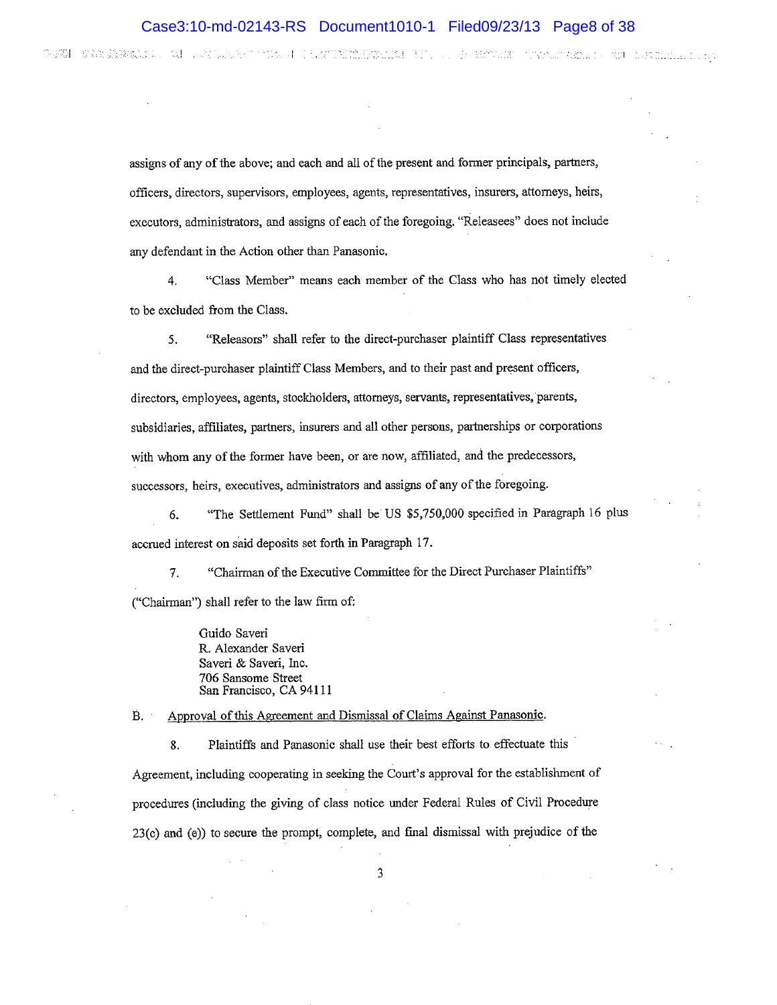4-4개의 - 화학의 승강부(최고 10)

AN TERNIS SECTION IN NEW PORTLANDS IN THE STATE ROOM CONTRACTOR OF THE LIMITED AND

assigns of any of the above; and each and all of the present and former principals, partners, officers, directors, supervisors, employees, agents, representatives, insurers, aftomeys, heirs, executors, administrators, and assigns of each of the foregoing. "Releasees" does not include any defendant in the Action other than Panasonic,

4. "Class Member" means each member of the Class who has not timely elected to be excluded from the Class.

5. "Releasors" shall refer to the direct-purchaser plaíntiff Class representatives and the direct-purchaser plaintiff Class Members, and to their past and present officers, directors, employees, agents, stockholders, attorneys, servants, representatives, parents, subsidiaries, afüliates, partners, insurers and all other persons, partnerships or corporations with whom any of the former have been, or are now, affiliated, and the predecessors, successors, heirs, executives, administrators and assigns of any of the foregoing.

6. "The Settlement Fund" shall be US \$5,750,000 specified in Paragraph 16 plus accrued interest on said deposits set forth in Paragraph 17.

V. "Chairman of the Executive Committee for the Direct Purchaser Plaintiffs" ("Chairman") shall refer to the law firm of:

> Guido Saveri R. Alexander Saveri Saveri & Saveri, Inc. 706 Sansome Street San Francisco, CA 94111

B. Approval of this Agreement and Dismissal of Claims Against Panasonic.

8. Plaintiffs and Panasonic shall use their best efforts to effectuate this Agreement, including cooperating in seeking the Court's approval for the cstablishment of procedures (including the giving of class notice under Federal Rules of Civil Procedure 23(c) and (e)) to secure the prompt, complete, and final dismissal with prejudice of the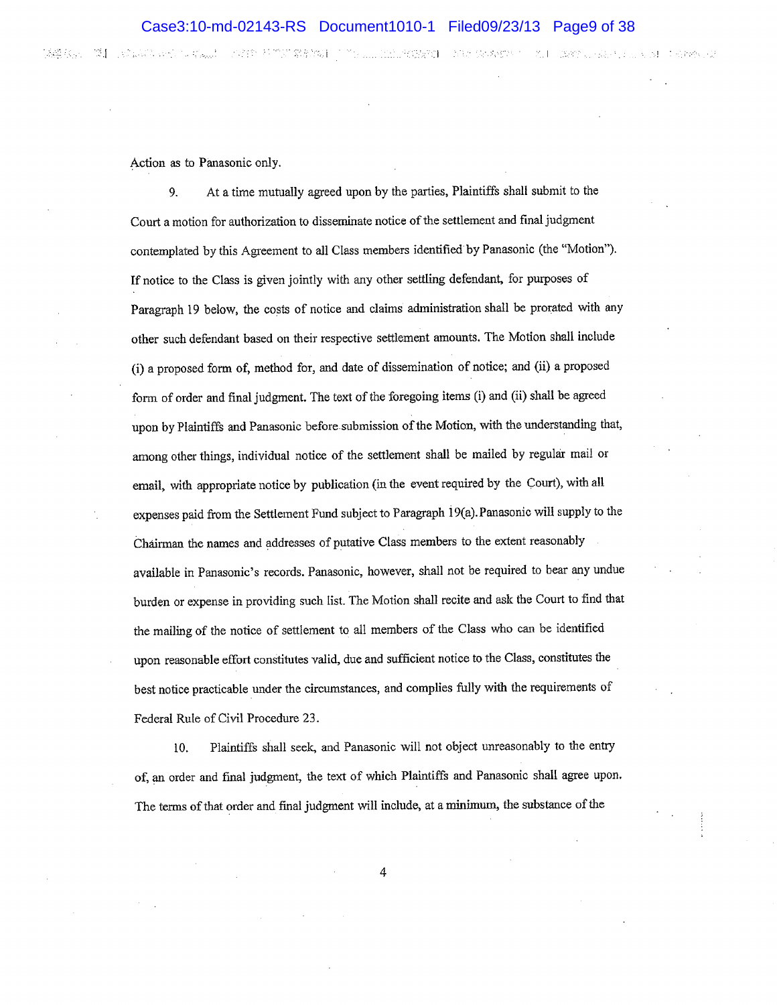「諸葛衣」、「葉】 しめいぶちゅうしょ (なん)」 しかおや お 色の 業を経め ローチリ (……1000) PODがお コーカル Georges ユーカー Leave Conserver Convertise And

Action as to Panasonic only.

9. At a time mutually agreed upon by the parties, Plaintiffs shall submit to the Court a motion for authorization to disseminate notice of the settiement and final judgment contemplated by this Agreement to all Class members identified by Panasonic (the "Motion"). If notice to the Class is given jointly with any other settling defendant, for purposes of Paragraph 19 below, the costs of notice and claims administration shall be prorated with any other such defendant based on their respective settlement amounts. The Motion shall include (i) a proposed form of, method for, and date of dissemination of lotice; and (ii) a proposed form of order and finat judgnent. The text of the foregoing ìtems (i) and (ii) shall be agreed upon by Plaintiffs and Panasonic before submission of the Motion, with the understanding that, among other things, individual notice of the settlement shall be mailed by regular mail or email, with appropriate notice by publication (in the event required by the Court), with all expenses paid from the Settlement Fund subject to Paragraph l9(a).Panasonic will supply to the ôhairman the names and addresses of putative Class members to the extent reasonably available in Panasonic's records. Panasonic, howevet, shail not be required to bear any undue burden or expense in providing such list. The Motion shall recite and ask the Court to find that the mailing of the notice of settlement to all members of the Class who can be identified upon reasonable effort constitutes valid, due and sufficient notice to the Class, constitutes the best notice practicable under the circumstances, and complies fully with the requirements of Federal Rule of Civil Procedure 23.

10. Plaintiffs shall seek, and Panasonic will not object unreasonably to the entry of, an order and final judgment, the text of which Plaintiffs and Panasonic shall agree upon. The tenns of that order and final judgment will include, at a minimum, the substance of the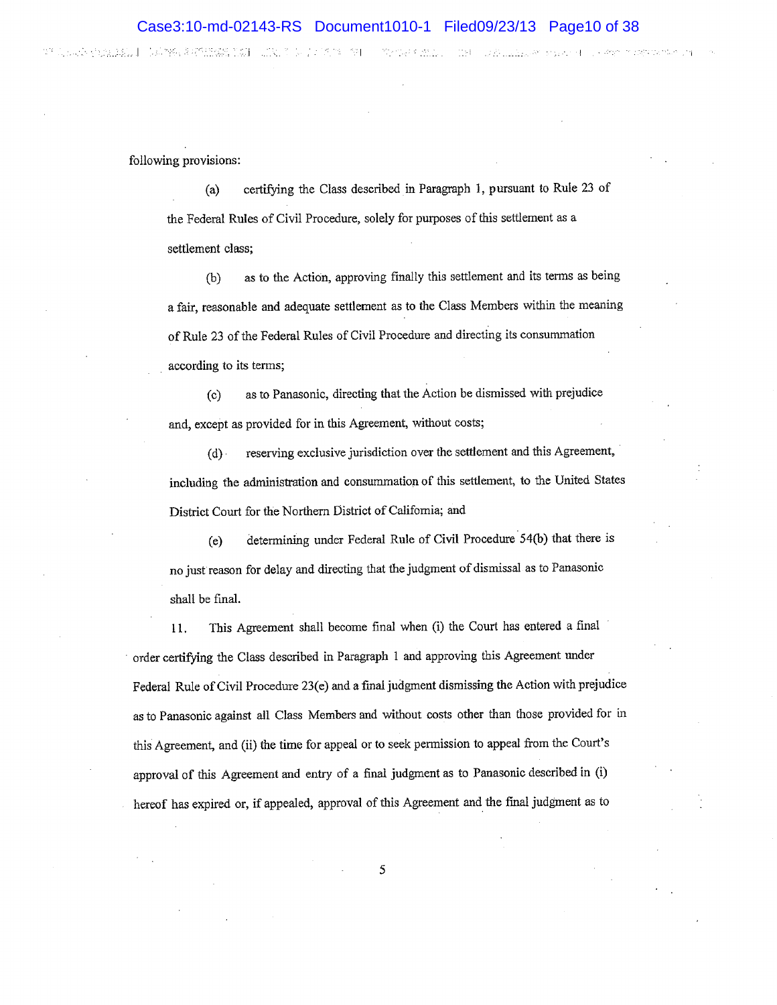WANG KALENDARY DIA KELERAAN MENYERAHAN

o komen e primite numo n

following provisions:

Loop Stalas. In Domes of Mark 1911 with 1912 1913 1911

(a) certifying the Class described in Paragraph 1, pursuant to Rule 23 of the Federal Rules of Civil Procedure, solely for purposes of this settlement as a settlement class:

(b) as to the Action, approving finally this settlement and its terms as being a fair, reasonable and adequate settlement as to the Class Membcrs within the meaning of Rule 23 of the Federal Rules of Civil Procedure and directing its consummation according to its terms;

(c) as to Panasonic, directing that the Action be dismissed with prejudice and, except as provided for in this Agreement, without costs;

(d) reserving exclusive jurisdiction over the settlement and this Agreement, including the administration and consummation of this settlement, to the United States District Court for the Northern District of California; and

(e) determining under Federal Rule of Civil Procedure 54(b) that there is no just reason for delay and directing that the judgment of dismissal as to Panasonic shall be final.

11. This Agreement shall become final when (i) the Court has entered a final order certifying the Class dçscribed in Paragraph i and approving tbis Agreement under Federal Rule of Civil Procedure 23(e) and a final judgment dismissing the Action with prejudice as to Panasonic against alt Class Members and without costs other than those provided for ín this Agreement, and (ii) the time for appeal or to seek permission to appeal from the Court's approval of this Agreement and entry of a final judgment as to Panasonic described in (i) hereof has expired or, if appealed, approval of this Agreement and the final judgment as to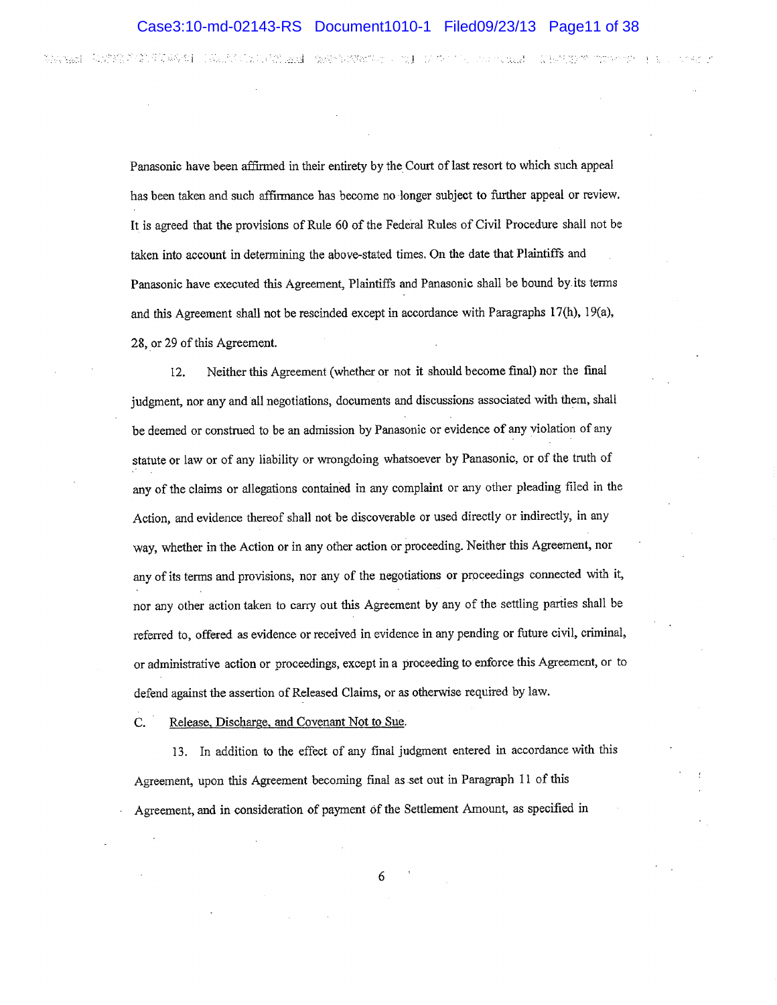的复数计 化对称系统的现在分词 计双元组元素的 医牙下颌动脉 网络罗斯特尔 计图 医中心的 医中心囊肿 的复数医中心的 医单位

Panasonic have been affirmed in their entirety by the Court of last resort to which such appeal has been taken and such affirmance has become no longer subject to further appeal or review. It is agreed that the provisions of Rule 60 of the Federal Rules of Civil Procedure shall not be taken into account in detennining the above-stated times. On the date that Plaintiffs and Panasonic have executed this Agreement, Plaintiffs and Panasonic shall be bound by its terms and this Agreement shall not be rescinded except in accordance with Paragraphs 17(h), 19(a), 28, or29 of this Agreement.

12. Neither this Agreement (whether or not it should become final) nor the final judgment, nor any and all negotiations, documents and discussions associated with them, shall be deemed or construed to be an admission by Panasonic or evidence of any vioiation of any statute or law or of any liability or wrongdoing whatsoever by Panasonic, or of the truth of any of the claims or allegations contained in any complaint or any other pleading fiied in the Action, and evidence thereof shall not be discoverable or used directly or indirectly, in any way, whether in the Action or in any other action or proceeding. Neither this Agreement, nor any of its terms and provisions, nor any of the negotiations or proceedings connected with it, nor any other action taken to carry out this Agreement by any of the settling parties shall be referred to, offered as evidence or received in evidence in any pending or future civil, criminal, or adminishative action or proceedings, except in a proceeding to enforce this Agreement, or to defend against the assertion of Released Claims, or as otherwise required by law.

C. Release, Discharge, and Covenant Not to Sue.

13. In addition to the effect of any final judgment entered in accordancewith this Agreement, upon this Agreement becoming final as set out in Paragraph 11 of this Agreement, and in consideration of payment of the Settlement Amount, as specified in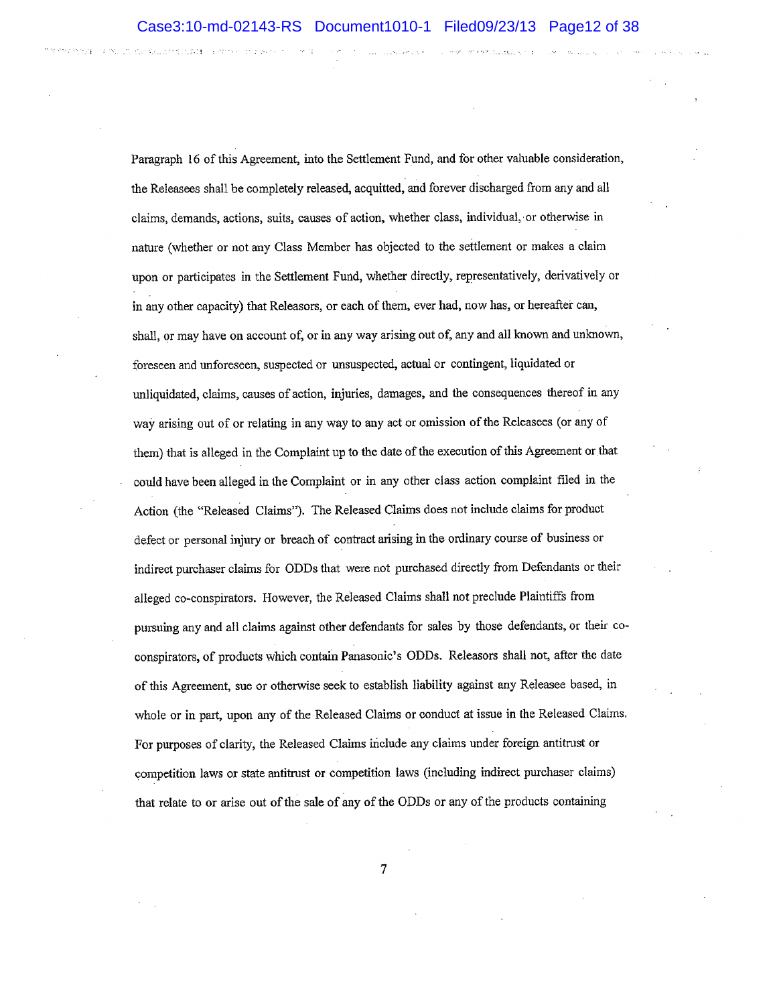Paragraph 16 of this Agreement, into the Settlement Fund, and for other valuable consideration, the Releasees shall be completely released, acquitted, and forever discharged from any and all claims, demands, actions, suits, causes of action, whether class, individual, or otherwise in nature (whether or not any Class Member has objected to the settlement or makes a claim upon or participates in the Settlement Fund, whether directly, representatively, derivatively or in any other capacity) that Releasors, or each of them, ever had, now has, or hereafter can, shall, or may have on account of, or in any way arising out of, any and all known and unknown, foreseen and unforeseen, suspected or unsuspected, actual or contingent, liquidated or unliquidaæd, claims, causes of action, injuries, damages, and the consequences thereof in any lvay arising out of or relating in any way to any act or omission of the Releasees (or any of them) that is alleged in the Complaint up to the date of the execution of this Agreement or that could have been alleged in the Complaint or in any other class action complaint filed in the Action (the "Released Claims"). The Released Claims does not include claims for produot defect or personal injury or breach of contract arising in the ordinary course of business or indirect pwchaser claims for ODDs that were not purchased directly from Defendants or their alleged co-conspirators. However, the Released Claims shall not preclude Plaintiffs from pursuing any and all claims against other defendants for sales by those defendants, or their cocon5pirators, of products which contain Panasonìc's ODDs. Releasors shall not, afrer the date of this Agreement, sue or otherwise seek to establish liability against any Releasee based, in whole or in part, upon any of the Released Claims or conduct at issue in the Released Claims. For purposes of clarity, the Released Claims include any claims under foreign antitrust or competition laws or state antitrust or competition laws (including indirect purchaser claims) that relate to or arise out of the sale of any of the ODDs or any of the products containing

 $\overline{7}$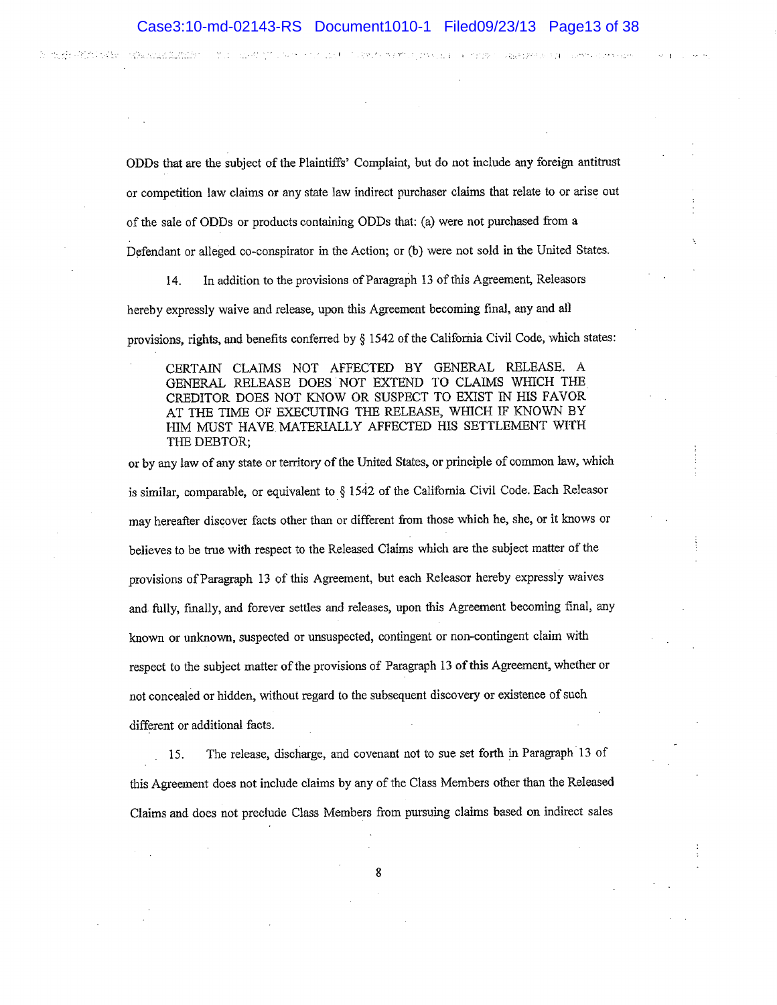STRING MERTING IN A SEE OF STRING CONFIDENCE OF THE EPATH STRATEGIC.

ODDs that are the subject of the Plaintiffs' Complaint, but do not include any foreign antitrust

or competition law claims or any state law índirect purchaser claims that relate to or arise out

of the sale of ODDs or products containing ODDs that: (a) were not purchased from a

图は、近视之前になっていたほど

(North ARCA) 6 (3 AB)

Hedy kingle to termine

Defendant or alleged co-conspirator in the Action; or (b) were not sold in the United States.

14. In addition to the provisions of Paragraph 13 of this Agreement, Releasors

hereby expressly waive and release, upon this Agreement becoming final, any and all

provisions, rights, and benefits conferred by \$ 1542 of the California Civil Code, which states:

CERTAIN CLAIMS NOT AFFECTED BY GENERAL RELEASE. À GENERAL RELEASE DOES NOT EXTEND TO CLAIMS WHICH THE CREDITOR DOES NOT KNOW OR SUSPECT TO EXIST IN HIS FAVOR AT THE TIME OF EXECUTING THE RELEASE, WHICH IF KNOWN BY IIIM MUST HAVE MATERIALLY AFFECTED HIS SETTLEMENT WTTH THE DEBTOR;

or by any law of any state or teritory of the United Staies, or principle of common law, which is similar, comparable, or equivalent to § 1542 of the California Civil Code. Each Releasor may hereafter discover facts other than or different from those which he, she, or it lmows or believes to be true with respect to the Released Claims which are the subject matter of the provisions ofParagraph 13 of this Agreement, but each Releasor hereby expressly waives and fully, finally, and forever settles and releases, upon this Agreement becoming final, any known or unknown, suspected or unsuspected, contingent or non-contingent claim with respect to the subject matter of the provisions of Paragraph 13 of this Agreement, whether or not concealed or hidden, without regard to the subsequent discovery or existence ofsuch different or additional facts.

15. The release, discharge, and covenant nol to sue set forth in Pæagraph 13 of this Agreement does not include claims by any of the Class Members other than the Released Claims and does not preclude Class Members from pursuing claims based on indirect sales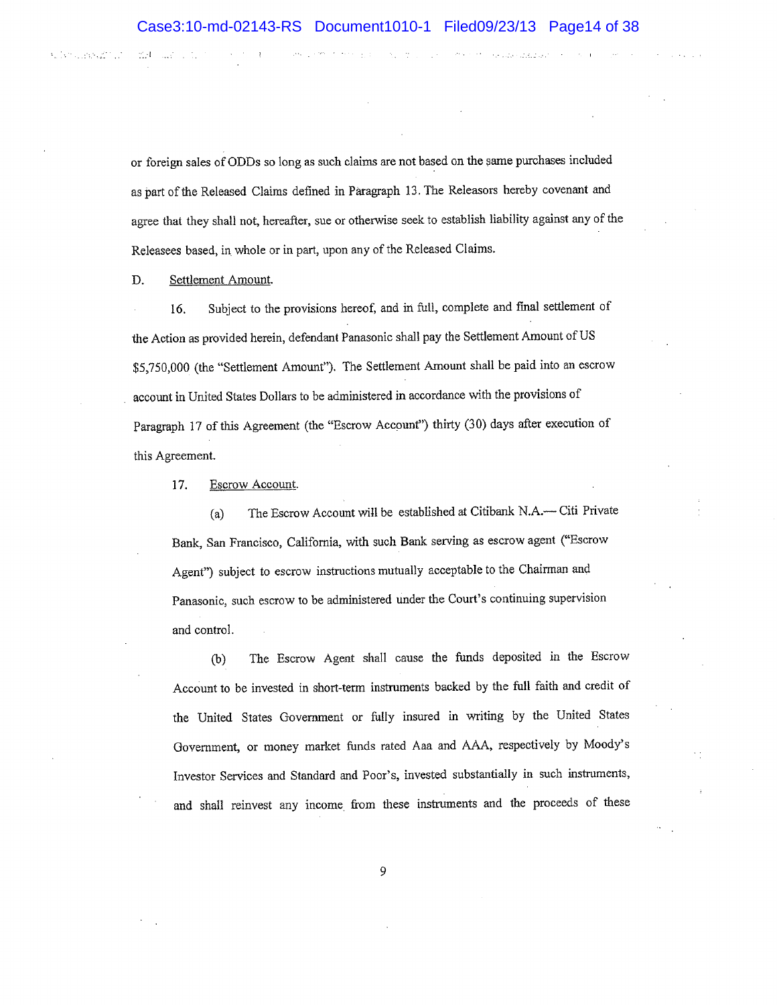or foreign sales of ODDs so long as such claims are not based on the same purchases included as part of the Released Claims defined in Paragraph 13. The Releasors hereby covenant and agree that they shall not, hereafter, sue or otherwise seek to establish liability against any of the Releasees based, in whole or in part, upon any of the Released Claims.

D. Settlement Amount.

**KIND OF BUILDING** 

∵.H

16. Subject to the provisions hereof, and in full, complete and final settlement of the Action as provided herein, defendant Panasonic shail pay the Settlement Amount of US \$5,?50,000 (the "settlement Arnount"). The Settlement Amount shall be paid into an escrow account in United States Dollars to be administered in accordance with the provisions of Paragraph 17 of this Agreement (the "Escrow Account") thirty (30) days after execution of this Agreement.

17. Escrow Account.

(a) The Escrow Account will be established at Citibank N.A.- Citi Private Bank, San Francisco, California, with such Bank serving as escrow agent ('Escrow Agent") subject to escrow instructions mutually acceptable to the Chairman and Panasonic, sucb escrow to be administered under the Court's continuing supervision and control.

(b) The Escrow Agent shall cause the funds deposited in the Escrow Account to be invested in short-term instruments backed by the full faith and credit of the United States Government or fully insured in writing by the United States Government, or money market funds rated Aaa and AAA, respectively by Moody's Investor Services and Standard and Poor's, invested substantially in such instruments, and shall reinvest any income, from these instruments and the proceeds of these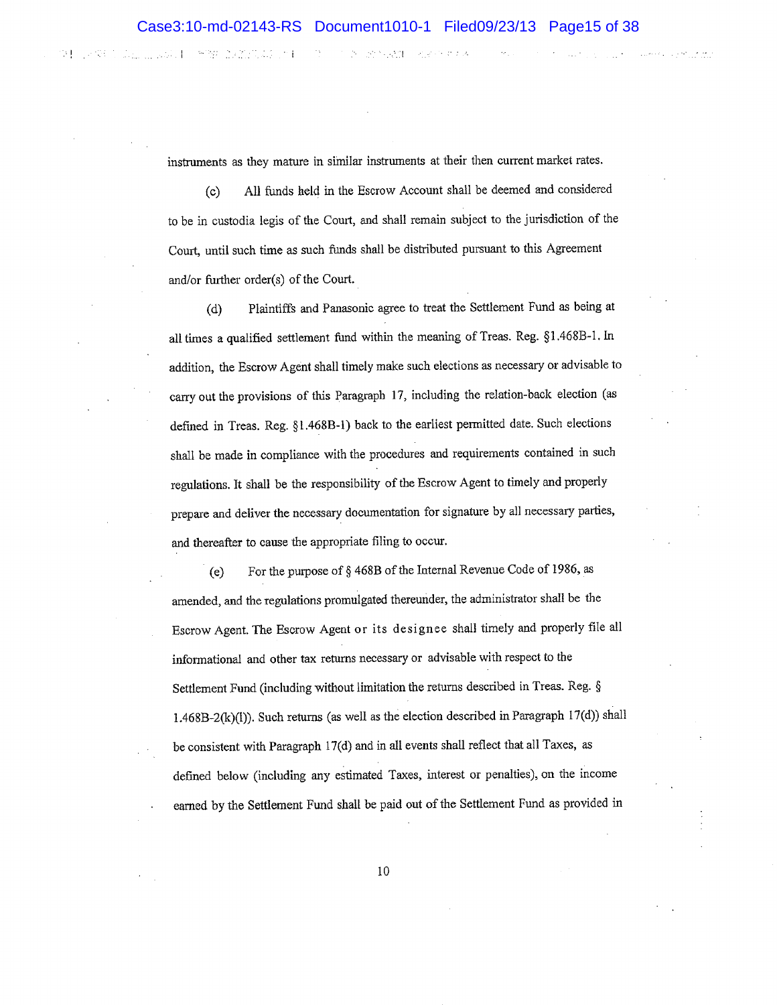2010-01-02

第1009 第420页 2010 2021 10:

医神经 的复数形式的

 $\mathbb{R}^n$  i

instruments as they mature in similar instruments at their then current market rates.

(c) All funds held in the Escrow Account shall be deemed and corsidered to be in custodia legis of the Court, and shall remain subject to the jurisdiction of the Court, until such time as such funds shall be distributed pursuant to this Agreement and/or further order(s) of the Court.

(d) Plaintiffs and Panasonic agree to treat the Settlement Fund as being at all times a qualified settlement fund within the meaning of Treas. Reg. §1.468B-1. In addition, the Escrow Agent shall timely make such elections as necessary or advisable to carry out the provisions of this Paragraph 17, including the relation-back election (as defined in Treas. Reg. §1.468B-1) back to the earliest permitted date. Such elections shall be made in compliance with the procedures and requirements contained in such regulations. It shall be the responsibility of the Escrow Agent to timely and properly prepare and deliver the necessary documentation for signature by all necessary parties, and thereafter to cause the appropriate filing to occur.

(e) For the purpose of  $\S 468B$  of the Internal Revenue Code of 1986, as amended, and the regulations promulgated thereunder, the administrator shall be the Escrow Agent. The Escrow Agent or its designee shall timely and properly file all informational and other tax returns necessary or advisable with respect to the Settlement Fund (including without limitation the returns described in Treas. Reg. § 1.468B-2(k)(l)). Such returns (as well as the election described in Paragraph 17(d)) shall be consistent with Pæagraph 17(d) and in all events shall reflect that all Taxes, as defined below (including any estimated Taxes, interest or penalties), on the income earned by the Settlement Fund shalt be paid out of the Settlement Fund as provided in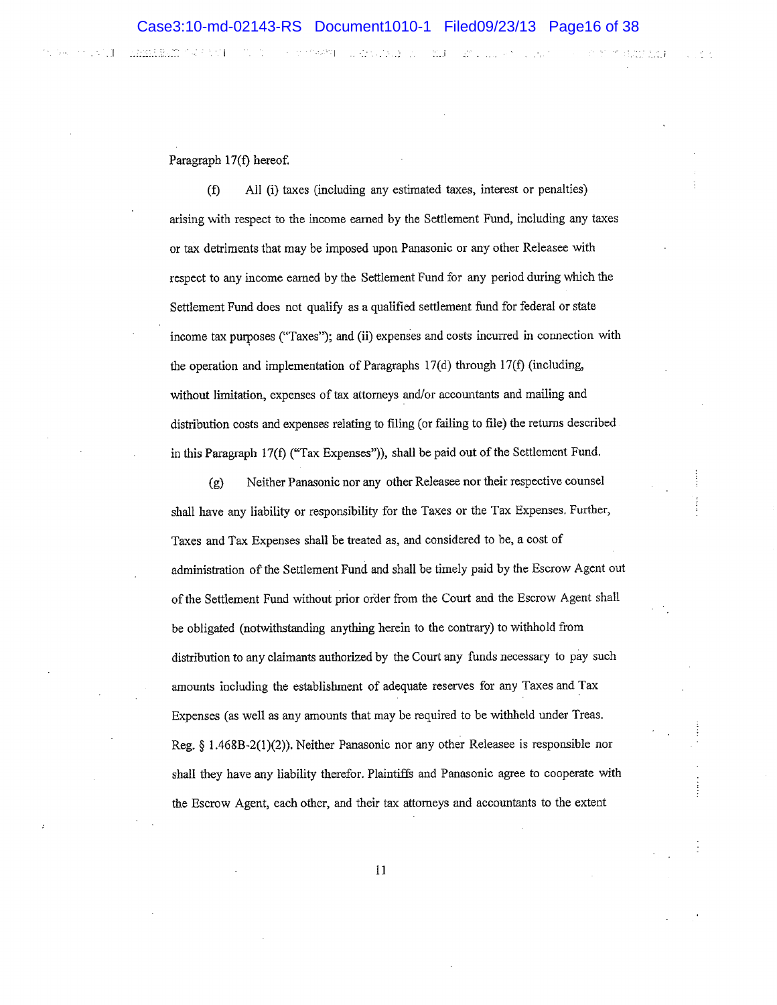Second Market Construction and the construction of the construction of the construction of the construction of the construction of the construction of the construction of the construction of the construction of the constru

dimonale

Paragraph 17(f) hereof.

(Ð All (i) taxes (including any estimated taxes, interest or penalties) ' arising with respect to the income eamed by the Settlement Fund, including any taxes or tax detriments that may be imposed upon Panasonic or any other Releasee with respect to any income eamed by the Settlement Fund for any period during which the Settlement Fund does not qualify as a qualified settlement fund for federal or state income tax purposes ("Taxes"); and (ii) expenses and costs incurred in connection with the operation and implementation of Paragraphs l7(d) through 17(f) (including, without limitation, expenses of tax attorneys and/or accountants and maüing and distribution costs and expenses relating to filing (or failing to file) the returns described in this Paragraph 17(f) ("Tax Expenses")), shall be paid out of the Settlement Fund.

(g) Neither Panasonic nor any other Releasee nor their respective counsel <sup>i</sup> shall have any liability or responsibility for the Taxes or the Tax Expenses. Further, Taxes and Tax Expenses shall be treated as, and considered to be, a cost of administation of the Settlement Fund and shall be rirnely paid by the Escrow Agent out of the Settlement Fund without prior order from the Court and the Escrow Agent shall be obligated (notwithstanding anything herein to the contrary) to withhold from distribution to any claimants authorized by the Court any funds necessary to pay such amounts including the establishment of adequate reserves for any Taxes and Tax Expenses (as well as any amounts that may be required to be withlield under Treas. Reg.  $§$  1.468B-2(1)(2)). Neither Panasonic nor any other Releasee is responsible nor shall they have any liability therefor. Plaintiffs and Panasonic agree to cooperate with the Escrow Agent, each other, and their tax attorneys and accountants to the extent

l1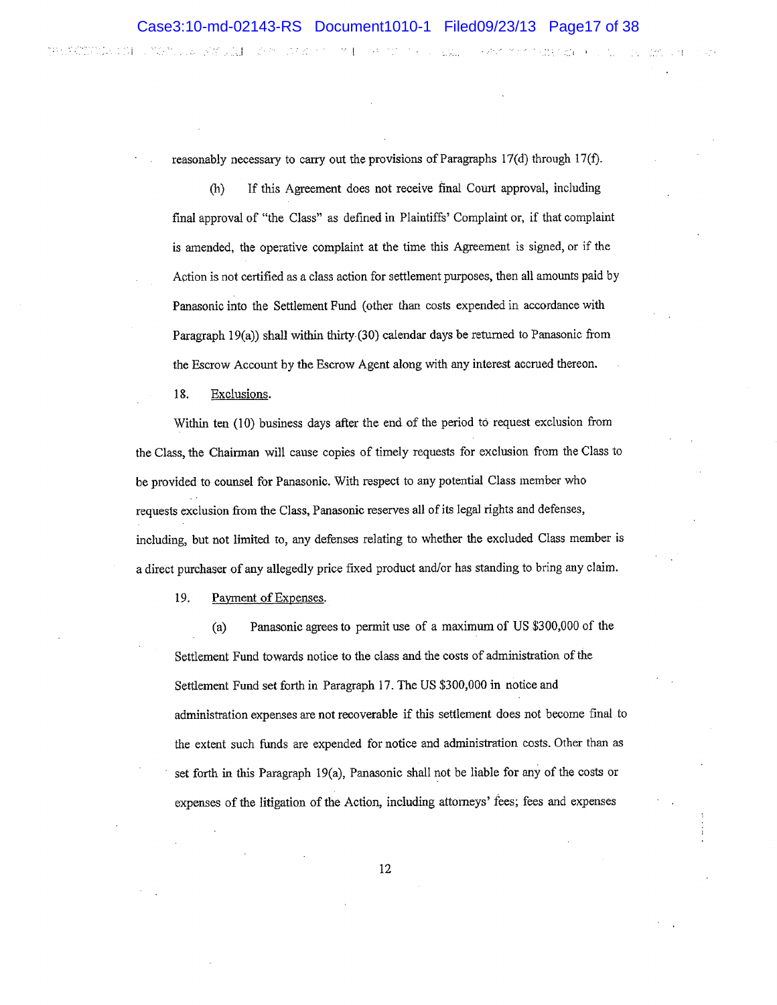a Col

**SAIN CARD AND AN AIRCRAFT** 

经经济性理

reasonably necessary to carry out the provisions of Paragraphs  $17(d)$  through  $17(f)$ .

(h) If this Agreement does not receive ñnal Court approval, including final approval of "the Class" as defined in Plaintiffs' Complaint or, if that complaint is amended, the operative cornplaint at the time this Agreement is signed, or if the Action is not certified as a class action for settlement purposes, then all amounts paid by Panasonic into the Settlement Fund (other than costs expended in accordance with Paragraph 19(a)) shall within thirty (30) calendar days be returned to Panasonic from the Escrow Account by the Escrow Agent along with any interest accrued thereon.

18. Exclusions.

the substitute of the fille of the second control of the second second second second second second second second

Within ten (10) business days after the end of the period tö request exclusion from the Class, the Chainnan will cause copies of timely requests for exclusion from the Class to be provided to counsel for Panasonic. With respect to any potential Class metnber who requests exclusion from the Class, Panasonic reserves all of its legal rights and defenses, including, but not limited to, any defenses relating to whether the excluded Ciass member is a direct purchaser of any allegedly price fixed product and/or has standing to bring any claim.

19. Payment of Expenses.

(a) Panasonic agrees to permit use of a maximum of US \$300,000 of the Settlement Fund towards notice to the class and the costs of administration of the Settlement Fund set forth in Paragraph 17. The US \$300,000 in notice and administration expenses are not recoverable if this settlement does not become final to the extent such funds are expended for notice and administation costs. Other than as set forth in this Paragraph 19(a), Panasonic shall not be tiable for any ofthe costs or expenses of the litigation of the Action, including attorneys'fees; fees and expenses

l¿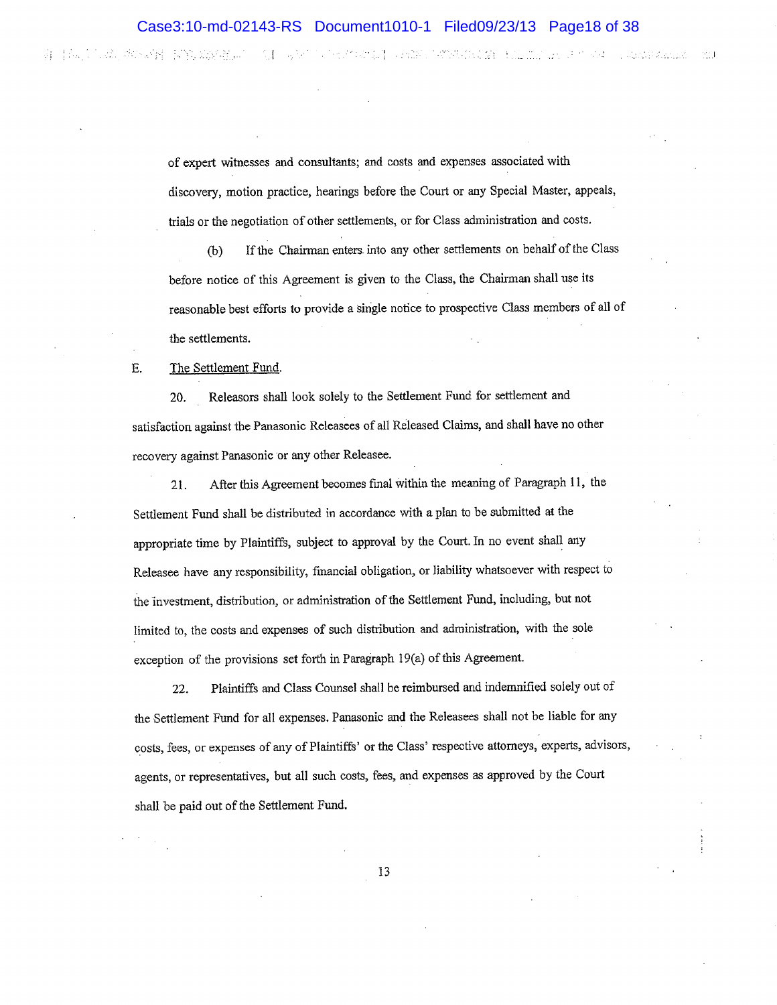.-.,-,.,t,,,., <sup>I</sup>

of expert witnesses and consultants; and costs and expenses associated with discovery, motion practice, hearings before the Court or any Special Master, appeals, trials or the negotiation of other settlements, or for Class administration and costs.

G) If the Chairman enters inlo any other settlements on behalf of the Class before notice of this Agreement is given to the Class, the Chairman shall use its reasonable best effons to provide a single notice to prospective Class members of all of the settlements.

### E. The Settlement Fund.

20. Releasors shall look solely to the Settlement Fund for settlement and satisfaction against the Panasonic Releasees of all Released Claims, and shatl have no other recovery against Panasonic or any other Releasee.

21. After this Agreement becomes final within the meaning of Paragraph 11, the Settlement Fund shall be distributed in accordance with a plan to be submitted at the appropriate time by Plaintiffs, subject to approval by the Court. In no event shall any Releasee have any responsibility, financial obligation, or liability whatsoever with respect to the investment, distribution, or administration of the Seftlement Fund, including, but not limited to, the costs and expenses of such distribution and administration, with the sole exception of the provisions set forth in Paragraph 19(a) of this Agreement.

22. Plaintiffs and Class Counsel shall be reimbursed and indemnified solely out of the Settlement Fund for all expenses. Panasonic and the Releasees shall not be liable for any costs, fees, or expenses of any of Plaintiffs' or the Class' respective attorneys, experts, advisors, agents, or representatives, but all such costs, fees, and expenses as approved by the Court shall be paid out of the Settlement Fund.

IJ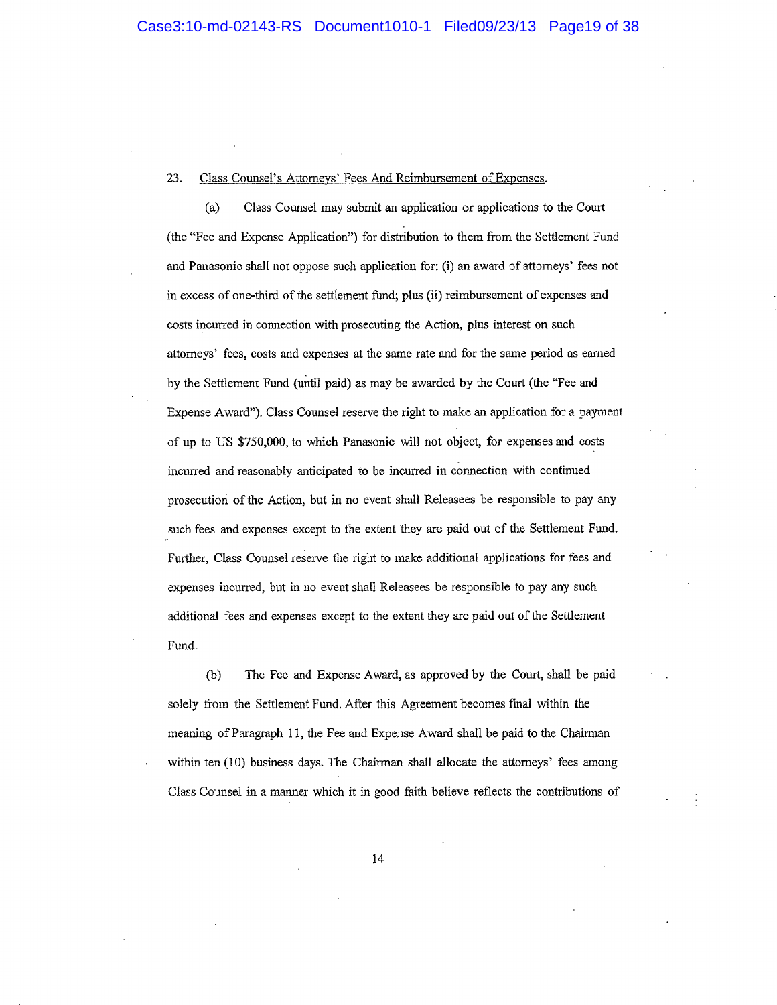#### 23. Class Counsel's Attomeys' Fees And Reimbursement of Expenses.

(a) Class Counsel may submit an application or applications to the Court (the "Fee and Expense Application") for distributíon to them from the Settlement Fund and Panasonic shall not oppose such application for: (i) an award of attorneys' fees not in excess of one-third of the settlement fund; plus (ii) reimbursement of expenses and costs incurred in connection with prosecuting the Action, plus interest on such attomeys' fees, costs and expenses at the same rate and for the same period as earned by the Settlement Fund (until paid) as may be awarded by the Court (the "Fee and Expense Award'), Class Counsel reserve the right to make an application for a payment of up to US \$750,000, to which Panasonic will not object, for expenses and costs incurred and reasonably anticipated to be incurred in connection with continued prosecution of the Action, but in no event shall Releasees be responsible to pay any such fees and expenses except to the extent they are paid out of the Settlement Fund. Further, Class Counsel reserve the right to make additional applications for fees and expenses incurred, but in no event shall Releasees be responsible to pay any such additional fees and expenses except to the extent they are paid out of the Settlement Fund.

(b) The Fee and Expense Award, as approved by the Court, shall be paid solely from the Settlement Fund. After this Agreement becomes final within the meaning of Paragraph 11, the Fee and Expense Award shall be paid to the Chairman within ten (10) business days. The Chairman shall allocate the attorneys' fees among Class Counsel in a manner which it in good faith believe reflects the contributions of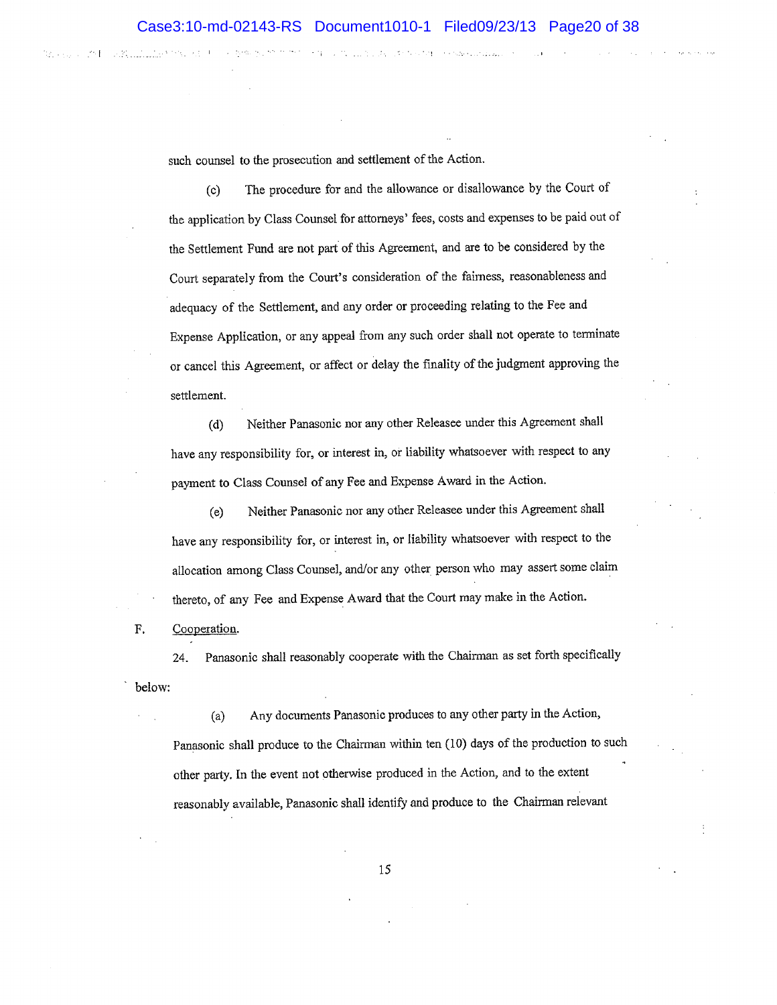such counsel to the prosecution and settlement of the Action.

(c) The procedure for and the allowance or disallowance by the Court of the application by Class Counsel for attorneys' fees, costs and expenses to be paid out of the Settlement Fund are not part of this Agreement, and are to be considered by the Court separately from the Court's consideration of the fairness, reasonableness and adequacy of the Settlement, and any order or proceeding relating to the Fee and Expense Application, or any appeal from any such order shall not operate to terminate or cancel this Agreement, or affect or delay the finality of the judgment approving the settlement.

(d) Neither Panasonic nor any other Releasee under this Agreement shall have any responsibility for, or interest in, or liability whatsoever with respect to any payment to Class Counsel of any Fee and Expense Award in the Action.

(e) Neither Panasonic nor any other Releasee under this Agreement shall have any responsibility for, or interest in, or liability whatsoever with respect to the allocation among Class Counsel, and/or any other person who may assert some claim thereto, of any Fee and Expense Award that the Court may make in the Action.

F. Cooperation.

24. Panasonic shall reasonably cooperate with the Chairman as set forth specifically below:

(a) Any documents Panasonic produces to any other parry in the Action, Panasonic shall produce to the Chairman within ten (10) days of the production to such other party. In the event not otherwise produced in the Action, and to the extent reasonably available, Panasonic shall identify and produce to the Chairman relevant

I)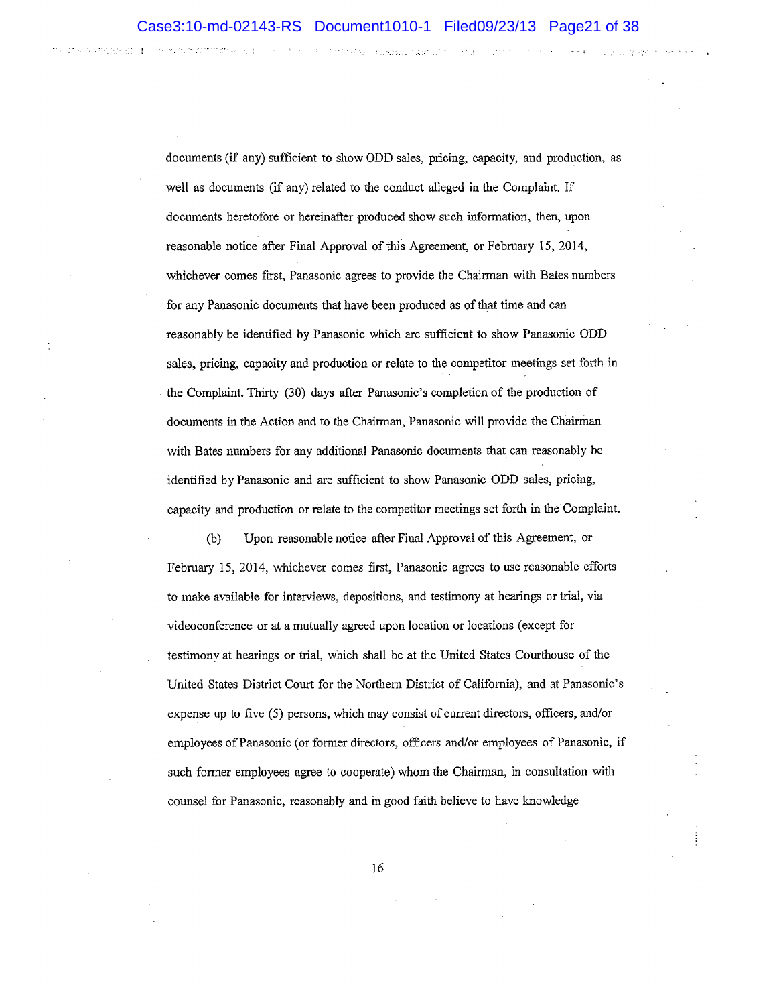documents (if any) sufficient to show ODD sales, pricing, capacity, and production, as well as documents (if any) related to the conduct alleged in the Complaint. If documents heretofore or hereinafter produced show such information, then, upon reasonable notice after Final Approval of this Agreement, or February 15,2014, whichever comes first, Panasonic agrees to provide the Chairman with Bates numbers for any Panasonic documents that have been produced as of that time and oan reasonably be identified by Panasonic which are sufficient to show Panasonic ODD sales, pricing, capacity and production or relate to the competitor meetings set forth in the Complaint. Thirty (30) days after Panasonic's completion of the production of documents in the Action and to the Chairman, Panasonic will provide the Chairman with Bates numbers for any additional Panasonic documents that can reasonably be identified by Panasonic and are sufficient to show Panasonic ODD sales, pricing, capacity and production or relate to the competitor meetings set forth in the Complaint.

(b) Upon reasonable notice affer Final Approval of this Agreement, or February i5, 2014, whichever comes first, Panasonic agrees to use reasonable efforts to make available for interviews, depositìons, and testimony at hearings or trial, via videoconference or at a mutually agreed upon location or locations (except for testirnony at hearings or trial, which shall be at the United States Courthouse of the United States District Court for the Northern District of Califomia), and at Panasonic's expense up to five (5) persons, which may consist of current directors, officers, and/or employees of Panasonic (or former directors, officers and/or employees of Panasonic, if such former employees agree to cooperate) whom the Chairman, in consultation with counsel for Panasonic, reasonably and in good faith believe to have knowledge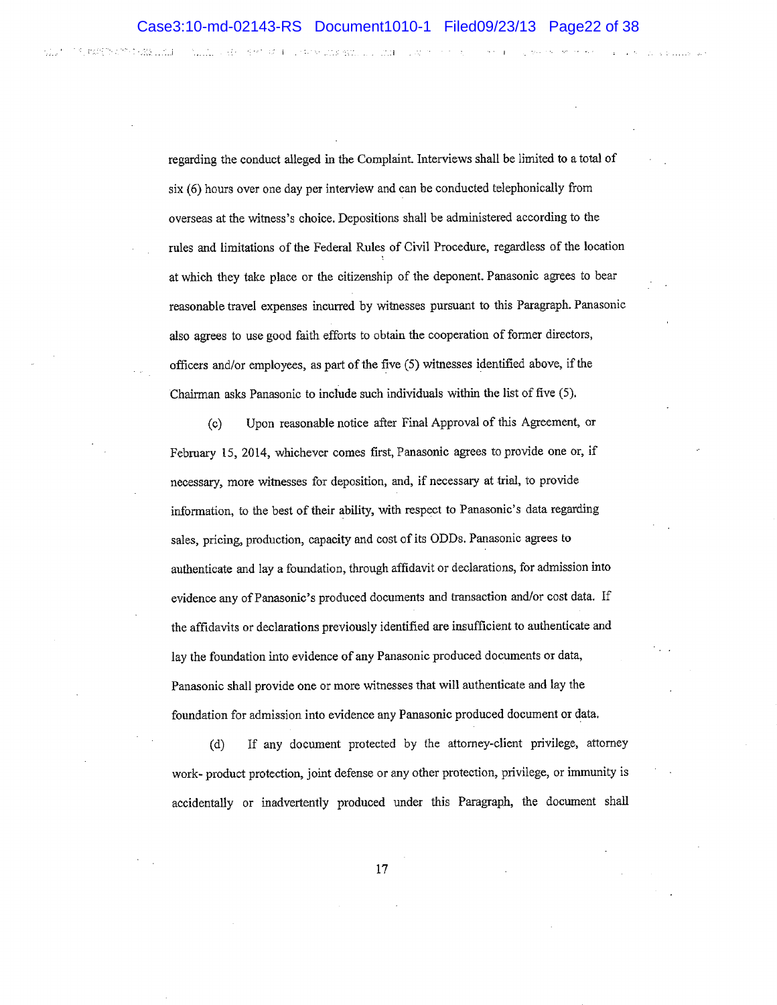THE SAN WAS SERVED AND THAT

regarding the conduct alleged in the Complaint. Interviews shall be limited to a total of six (6) hours over one day per interview and can be conducted telephonically from overseas at the witness's choice. Depositions shall be administered according to the rules and limitations of the Federal Rules of Civil Procedure, regardless of the location at which they take place or the citizenship of the deponent. Panasonic agrees to bear reasonable travel expenses incurred by witnesses pursuant to this Paragraph. Panasonic also agrees to use good faith efforts to obtain the cooperation of former directors, officers and/or employees, as part of the five (5) witnesses identified above, if the Chairman asks Panasonis to include such individuals within the list of five (5).

(c) Upon reasonable notice after Final Approval of this Agreement, or February 15, 2014, whichever comes first, Panasonic agrees to provide one or, if necessary, more witnesses for deposition, and, if necessary at trial, to provide information, to the best of their aåility, with respect to Panasonic's data regarding sales, pricing, production, capacity and cost of its ODDs. Panasonic agrees to authenticate and lay a foundation, through affidavit or declarations, for admission into evidence any of Panasonic's produced documents and transaction and/or cost data. If the affidavits or declarations previously identified are insufficient to authenticate and lay the foundation into evidence of any Panasonic produced documents or data, Panasonic shall provide one or more witnesses that will authenticate and lay the foundation for admission into evidence any Panasonic produced document or data.

(d) If any document protected by the attorney-client privilege, attomey work- product protection, joint defense or any other protection, priviiege, or immunity is accidentally or inadvertently produced under this Paragraph, the document shall

t7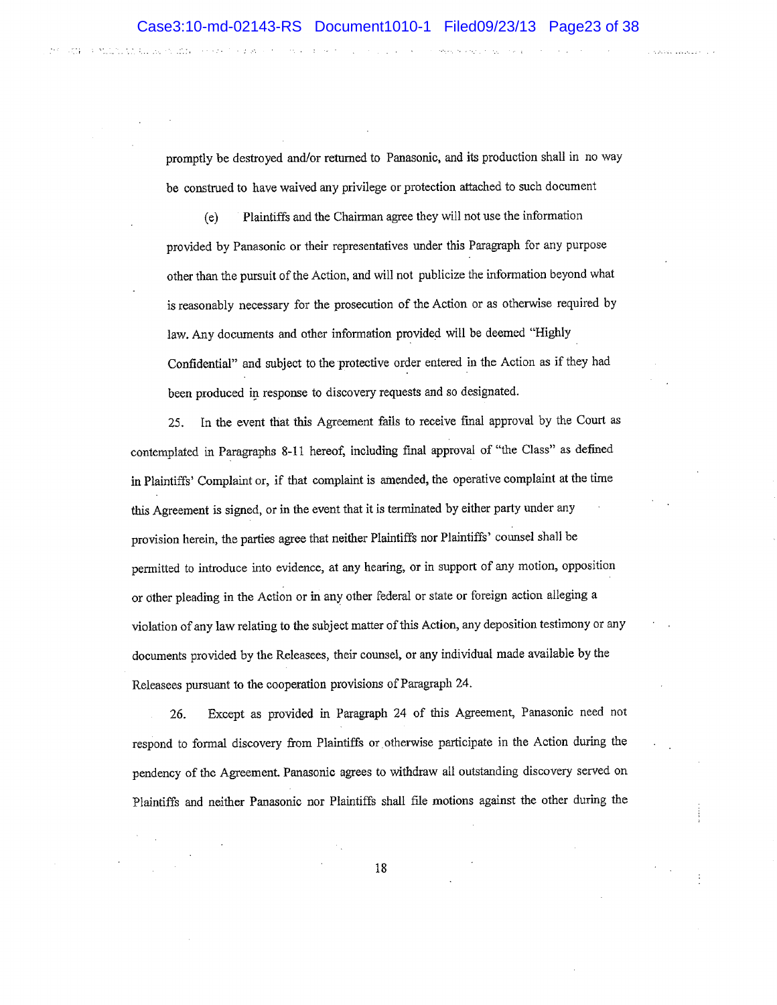promptly be destroyed and/or returned to Panasonic, and its production shall in no way be construed to have waived any privilege or protection atlached to such document

(e) Ptaintiffs and the Chairman agree they will not use the information provided by Panasonic or their representatives under this Paragraph for any purpose other than the pursuit of the Action, and will not publicize the information beyond what is reasonably necessary for the prosecution of the Action or as otherwise required by law. Any documents and other information provided will be deemed "Highly Confidentíal" and zubject to the protective order entered in the Action as if they had been produced in response to discovery requests and so designated.

.

a militiri

25. In the event that fhis Agreement fails to receive final approval by the Court as contemplated in Paragraphs 8-11 hereof, including final approval of "the Class" as defined in Plaintiffs' Complaint or, if that complaint is amended, the operative complaint at the time this Agreement is signed, or in the event that it is terminated by either party under any provision herein, the parties agree that neither Plaintiffs nor Plaintifß' counsel shall be permitted to introduce into evidence, at any hearing; or in support of any motion, opposition or other pleading in the Action or in any other federal or state or foreign action alleging <sup>a</sup> violation of any law relating to the subject matter of this Action, any deposition testimony or any documents provided by the Releasees, their counsel, or any individual made available by the Releasees pursuant to the cooperation provisions of Paragraph 24.

26. Except as provided in Paragraph 24 of this Agreement, Panasonic need not respond to formal discovery from Plaintiffs or otherwise participate in the Action during the pendency of the Agreement. Panasonic agrees to withdraw all outstanding discovery served on Plaintiffs and neither Panasonic nor Plaintiffs shall file motions against the other during the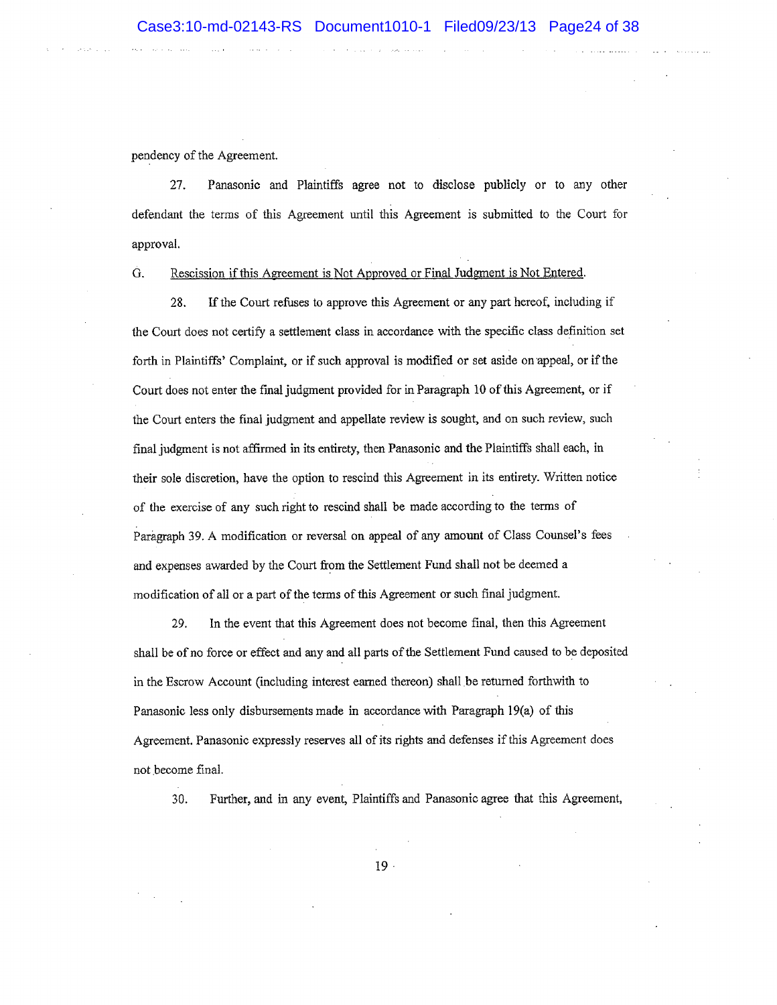pendency of the Agreement.

21. Panasonic and Plaintiffs agree not to disclose publicly or to any other defendant the terms of this Agreement until this Agreement is submitted to the Court for approval.

G. Rescission if this Agreement is Not Approved or Final Judgment is Not Entered.

28. If the Court refuses to approve this Agreement or any part hereof, including if the Court does not certiff a settlement class in accordance with the specific class deflrnition set forth in Plaintifß' Complaint, or if such approval is modified or set aside on appeal, or if the Court does not enter the finat judgment provided for in Paragraph 10 of this Agreement, or if the Court enters the final judgment and appellate review is sought, and on such review, such final judgment is not afñrmed in its entirety, then Panasonic and the Plaintiffs shall each, in their sole discretion, have the option to rescind this Agreement in its entirety. Written notice of the exercise of any such right to rescind shall be made according to the terms of Paragraph 39. A modification or reversal on appeal of any amount of Class Counsel's fees and expenses awarded by the Court from the Settlement Fund shall not be deemed a modification of all or a part of the terms of this Agreement or such final judgment.

29, In the event that this Agreement does not become final, then this Agreement shall be of no force or effect and any and all parts of the Settlement Fund caused to be deposited in the Escrow Account (including interest eamed thereon) shall be returned forthwith to Panasonic less only disbursements made in accordance with Paragraph 19(a) of this Agreement. Panasonic expressly reserves all of its rights and defenses if this Agreement does not become final.

30. Further, and in any event, Plaintiffs and Panasonic agree that this Agreement,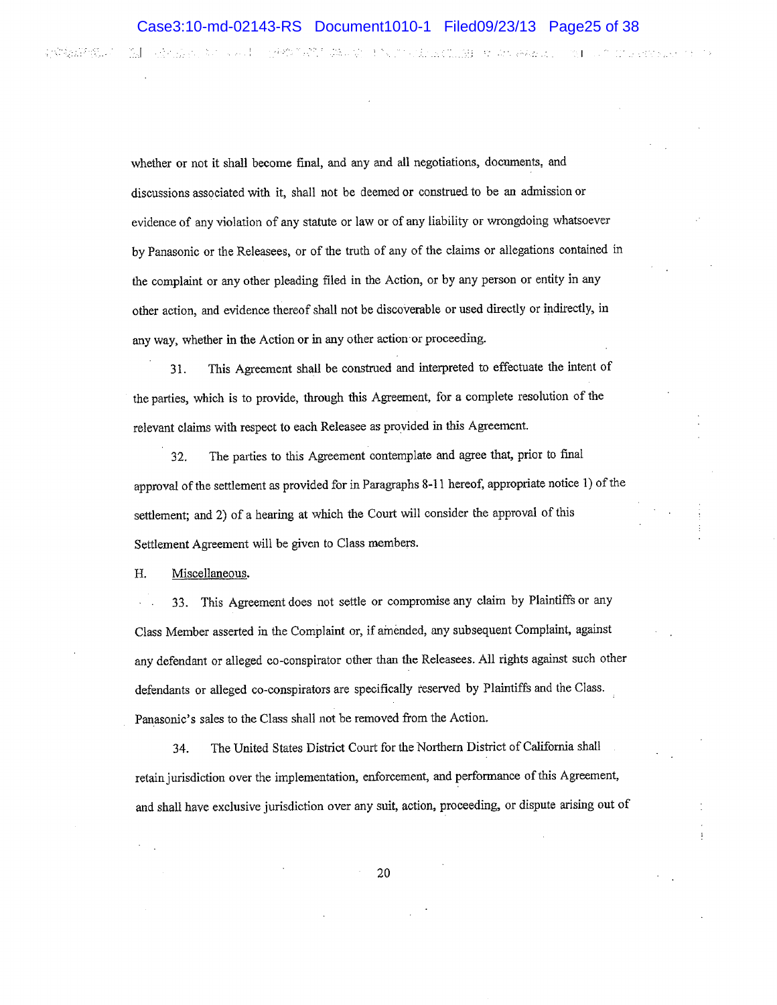ment and the second contract of the second contract of the second contract of the second contract of the second

r Canal Politics

whether or not it shall become final, and any and all negotiations, documents, and discussions associated with it, shall not be deemed or construed to be an admission or evidence of any violation of any statute or law or of any liability or wrongdoing whatsoever by Panasonic or the Releasees) or of the truth of any of the claims or allegations contained in the complaint or any other pleading filed in the Action, or by any person or entity in any other action, and evidence thereof shall not be discoverable or used directly or indirectly, in any way, whether in the Action or in any other action'or proceedìng.

<sup>31</sup>. This Agreement shall be construed and interpreted to effectuate the intent of the parties, which is to provide, through this Agreement, for a complete resolution of the relevant claims with respect to each Releasee as provided in this Agreement.

32. The parties to this Agreement contemplate and agree that, prior to final approval of the settlement as provided for in Paragraphs 8-11 hereof, appropriate notice 1) of the settlement; and 2) of a hearing at which the Court will consider the approval of this Settlement Agreement will be given to Class members.

H. Miscellaneous.

33. This Agreement does not settle or compromise any claim by Plaintiffs or any Class Member asserted in the Complaint or, if amended, any subsequent Complaint, against any defendant or alleged co-conspirator other than the Releasees. All rights against such other defendants or alleged co-conspirators are specifically reserved by Plaintiffs and the Class. Panasonic's sales to the Class shall not be removed from the Action.

34. The United States District Court for tbe Northern District of Califomia shall retain jurisdiction over the implementation, enforcement, and performance of this Agreement, and shall have exclusive jurisdiction over any suit, action, proceeding, or dispute arising out of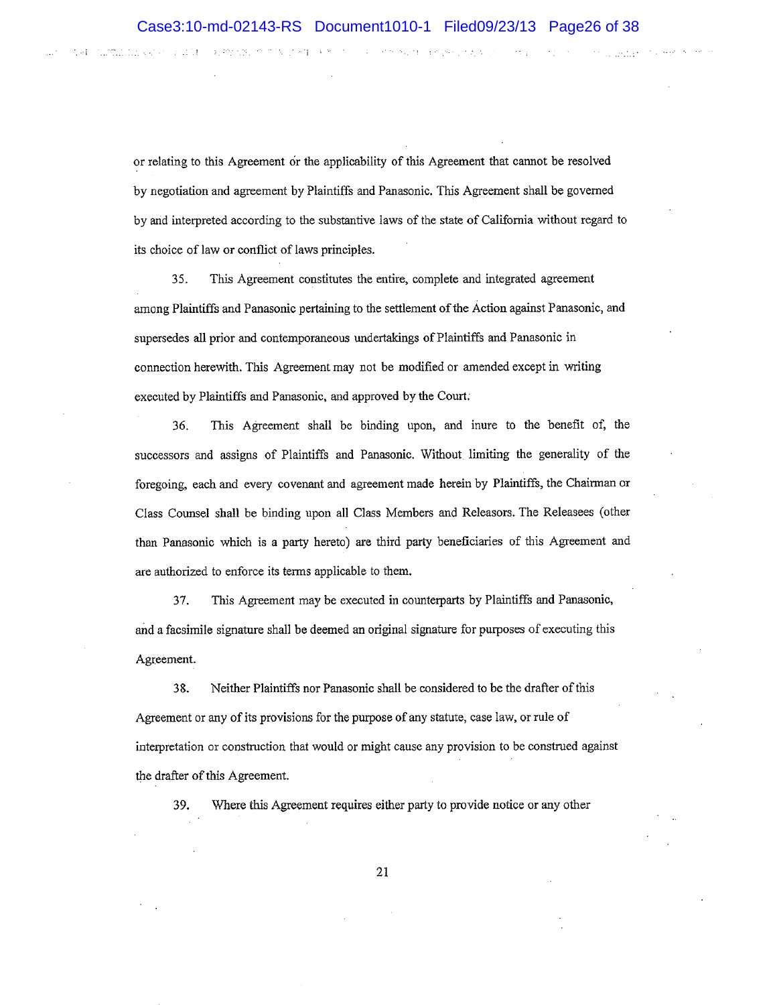化硬化酶 化氟化物 医心包 计数据

it dius

the question

13, 89, 53, 35, 31

**STATEMARK AND STATEMENT** 

大身長

or relating to this Agreement or the applicability of this Agreement that cannot be resolved by negotiation and agreement by Plaintiffs and Panasonic. This Agreement shall be govemed by and interpreted accordíng to the substantive laws of the state of California without regard to its choice of law or conflict of laws principles.

35. This Agreement constitutes the entìre, complete and integrated agreement among Plaintiffs and Panasonic pertaining to the settlement of the Action against Panasonic, and supersedes all prior and contemporaneous undertakings of Plaintiffs and Panasonic in connection herewith. This Agreement may not be modified or amended except in witing executed by Plaintiffs and Panasonic, and approved by the Coun;

36. This Agreement shall be binding upon, and inure to the benefit of, the successers and assigns of Plaintiffs and Panasonic. Without limiting the generality of the foregoing, each and every covenant and agreement made herein by Plaintiffs, the Chairman or Class Coursel shall be binding upon all Class Members and Releasors. The Releasees (other than Panasonic which is a party hereto) are third party beneficiaries of this Agreement and are authorized to enforce its terms applicable to them,

37. This Agreement may be executed in counterparts by Plaintiffs and Panasonic, and a facsimile signature shall be deemed an original signature for purposes of executing this Agreement.

38. Neither Plaintiffs nor Panasonic shall be considered to be the drafter of this Agreement or any of its provisions for the purpose of any statute, case law, or rule of interpretation or construction that would or might cause any provision to be construed against the drafter of this Agreement.

39. Where this Agreement requires either party to provide notice or any other